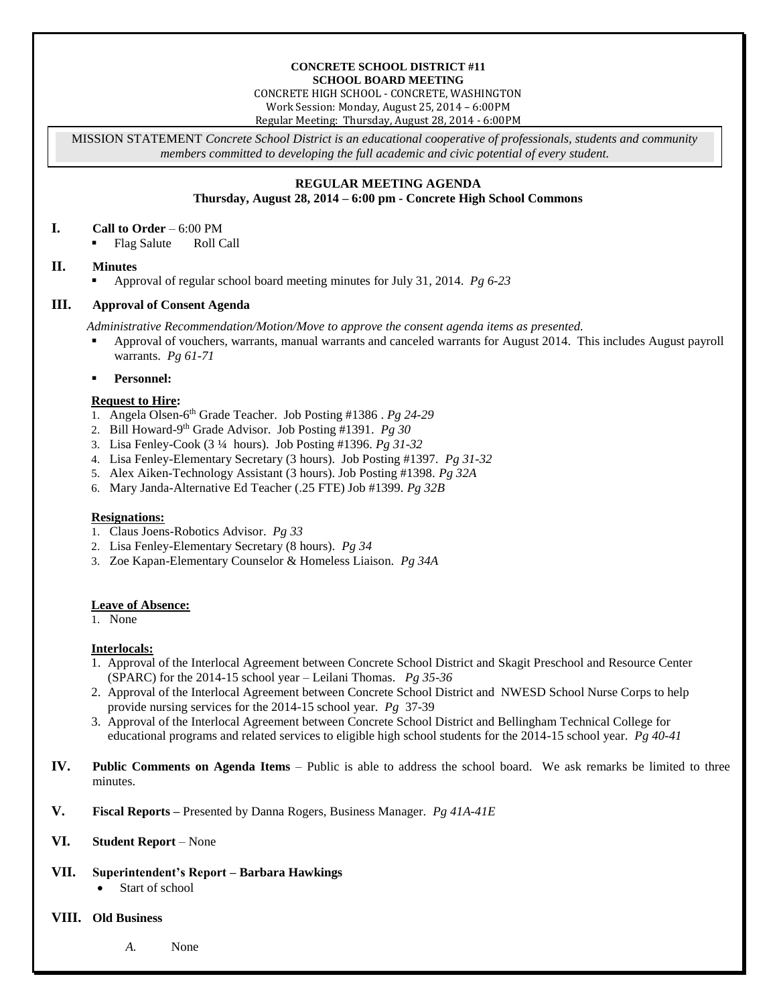#### **CONCRETE SCHOOL DISTRICT #11 SCHOOL BOARD MEETING**

CONCRETE HIGH SCHOOL - CONCRETE, WASHINGTON Work Session: Monday, August 25, 2014 – 6:00PM

Regular Meeting: Thursday, August 28, 2014 - 6:00PM

MISSION STATEMENT *Concrete School District is an educational cooperative of professionals, students and community members committed to developing the full academic and civic potential of every student.*

# **REGULAR MEETING AGENDA**

**Thursday, August 28, 2014 – 6:00 pm - Concrete High School Commons**

#### **I. Call to Order** – 6:00 PM

Flag Salute Roll Call

# **II. Minutes**

Approval of regular school board meeting minutes for July 31, 2014. *Pg 6-23*

# **III. Approval of Consent Agenda**

*Administrative Recommendation/Motion/Move to approve the consent agenda items as presented.*

- Approval of vouchers, warrants, manual warrants and canceled warrants for August 2014. This includes August payroll warrants. *Pg 61-71*
- **Personnel:**

### **Request to Hire:**

- 1. Angela Olsen-6 th Grade Teacher. Job Posting #1386 . *Pg 24-29*
- 2. Bill Howard-9 th Grade Advisor. Job Posting #1391. *Pg 30*
- 3. Lisa Fenley-Cook (3 ¼ hours). Job Posting #1396. *Pg 31-32*
- 4. Lisa Fenley-Elementary Secretary (3 hours). Job Posting #1397. *Pg 31-32*
- 5. Alex Aiken-Technology Assistant (3 hours). Job Posting #1398. *Pg 32A*
- 6. Mary Janda-Alternative Ed Teacher (.25 FTE) Job #1399. *Pg 32B*

### **Resignations:**

- 1. Claus Joens-Robotics Advisor. *Pg 33*
- 2. Lisa Fenley-Elementary Secretary (8 hours). *Pg 34*
- 3. Zoe Kapan-Elementary Counselor & Homeless Liaison. *Pg 34A*

### **Leave of Absence:**

1. None

### **Interlocals:**

- 1. Approval of the Interlocal Agreement between Concrete School District and Skagit Preschool and Resource Center (SPARC) for the 2014-15 school year – Leilani Thomas. *Pg 35-36*
- 2. Approval of the Interlocal Agreement between Concrete School District and NWESD School Nurse Corps to help provide nursing services for the 2014-15 school year. *Pg* 37-39
- 3. Approval of the Interlocal Agreement between Concrete School District and Bellingham Technical College for educational programs and related services to eligible high school students for the 2014-15 school year. *Pg 40-41*
- **IV. Public Comments on Agenda Items** Public is able to address the school board. We ask remarks be limited to three minutes.
- **V. Fiscal Reports –** Presented by Danna Rogers, Business Manager. *Pg 41A-41E*

# **VI. Student Report** – None

# **VII. Superintendent's Report – Barbara Hawkings**

Start of school

### **VIII. Old Business**

*A.* None